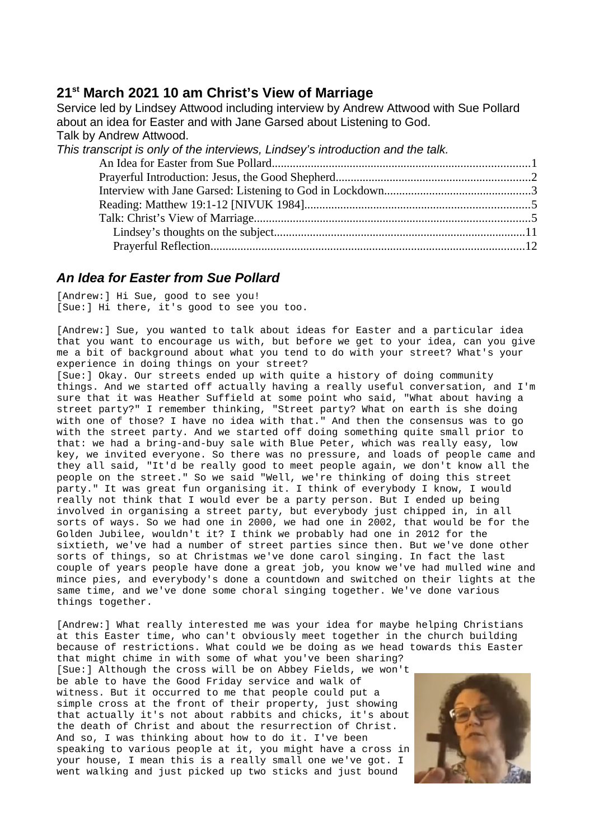# **21st March 2021 10 am Christ's View of Marriage**

Service led by Lindsey Attwood including interview by Andrew Attwood with Sue Pollard about an idea for Easter and with Jane Garsed about Listening to God. Talk by Andrew Attwood. *This transcript is only of the interviews, Lindsey's introduction and the talk.* [An Idea for Easter from Sue Pollard......................................................................................1](#page-0-0) [Prayerful Introduction: Jesus, the Good Shepherd.................................................................2](#page-2-1) [Interview with Jane Garsed: Listening to God in Lockdown.................................................3](#page-2-0) [Reading: Matthew 19:1-12 \[NIVUK 1984\]...........................................................................5](#page-4-1) [Talk: Christ's View of Marriage............................................................................................5](#page-4-0) [Lindsey's thoughts on the subject....................................................................................11](#page-10-0) [Prayerful Reflection.........................................................................................................12](#page-11-0)

# <span id="page-0-0"></span>*An Idea for Easter from Sue Pollard*

[Andrew:] Hi Sue, good to see you! [Sue:] Hi there, it's good to see you too.

[Andrew:] Sue, you wanted to talk about ideas for Easter and a particular idea that you want to encourage us with, but before we get to your idea, can you give me a bit of background about what you tend to do with your street? What's your experience in doing things on your street?

[Sue:] Okay. Our streets ended up with quite a history of doing community things. And we started off actually having a really useful conversation, and I'm sure that it was Heather Suffield at some point who said, "What about having a street party?" I remember thinking, "Street party? What on earth is she doing with one of those? I have no idea with that." And then the consensus was to go with the street party. And we started off doing something quite small prior to that: we had a bring-and-buy sale with Blue Peter, which was really easy, low key, we invited everyone. So there was no pressure, and loads of people came and they all said, "It'd be really good to meet people again, we don't know all the people on the street." So we said "Well, we're thinking of doing this street party." It was great fun organising it. I think of everybody I know, I would really not think that I would ever be a party person. But I ended up being involved in organising a street party, but everybody just chipped in, in all sorts of ways. So we had one in 2000, we had one in 2002, that would be for the Golden Jubilee, wouldn't it? I think we probably had one in 2012 for the sixtieth, we've had a number of street parties since then. But we've done other sorts of things, so at Christmas we've done carol singing. In fact the last couple of years people have done a great job, you know we've had mulled wine and mince pies, and everybody's done a countdown and switched on their lights at the same time, and we've done some choral singing together. We've done various things together.

[Andrew:] What really interested me was your idea for maybe helping Christians at this Easter time, who can't obviously meet together in the church building because of restrictions. What could we be doing as we head towards this Easter that might chime in with some of what you've been sharing?

[Sue:] Although the cross will be on Abbey Fields, we won't be able to have the Good Friday service and walk of witness. But it occurred to me that people could put a simple cross at the front of their property, just showing that actually it's not about rabbits and chicks, it's about the death of Christ and about the resurrection of Christ. And so, I was thinking about how to do it. I've been speaking to various people at it, you might have a cross in your house, I mean this is a really small one we've got. I went walking and just picked up two sticks and just bound

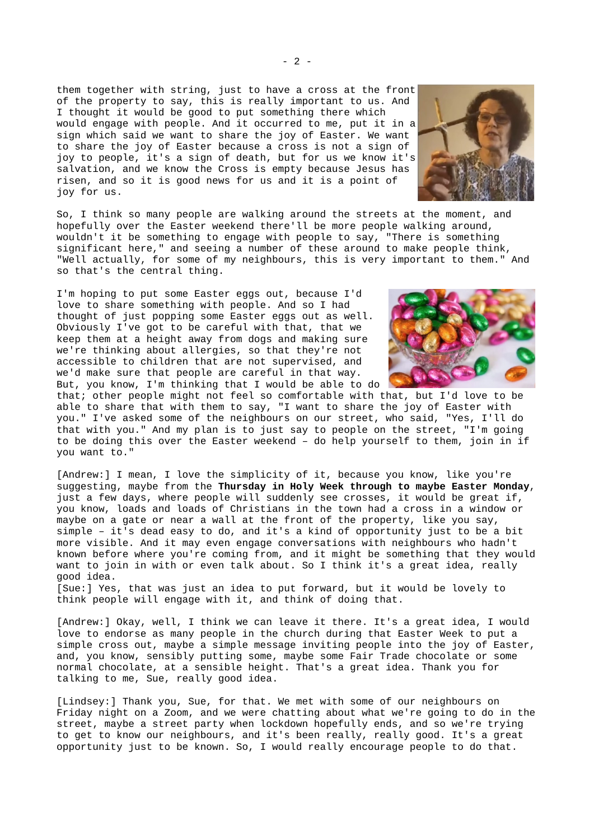them together with string, just to have a cross at the front of the property to say, this is really important to us. And I thought it would be good to put something there which would engage with people. And it occurred to me, put it in a sign which said we want to share the joy of Easter. We want to share the joy of Easter because a cross is not a sign of joy to people, it's a sign of death, but for us we know it's salvation, and we know the Cross is empty because Jesus has risen, and so it is good news for us and it is a point of joy for us.

So, I think so many people are walking around the streets at the moment, and hopefully over the Easter weekend there'll be more people walking around, wouldn't it be something to engage with people to say, "There is something significant here," and seeing a number of these around to make people think, "Well actually, for some of my neighbours, this is very important to them." And so that's the central thing.

I'm hoping to put some Easter eggs out, because I'd love to share something with people. And so I had thought of just popping some Easter eggs out as well. Obviously I've got to be careful with that, that we keep them at a height away from dogs and making sure we're thinking about allergies, so that they're not accessible to children that are not supervised, and we'd make sure that people are careful in that way. But, you know, I'm thinking that I would be able to do

that; other people might not feel so comfortable with that, but I'd love to be able to share that with them to say, "I want to share the joy of Easter with you." I've asked some of the neighbours on our street, who said, "Yes, I'll do that with you." And my plan is to just say to people on the street, "I'm going to be doing this over the Easter weekend – do help yourself to them, join in if you want to."

[Andrew:] I mean, I love the simplicity of it, because you know, like you're suggesting, maybe from the **Thursday in Holy Week through to maybe Easter Monday**, just a few days, where people will suddenly see crosses, it would be great if, you know, loads and loads of Christians in the town had a cross in a window or  $\overline{\phantom{a}}$  maybe on a gate or near a wall at the front of the property, like you say, simple – it's dead easy to do, and it's a kind of opportunity just to be a bit more visible. And it may even engage conversations with neighbours who hadn't known before where you're coming from, and it might be something that they would want to join in with or even talk about. So I think it's a great idea, really good idea.

[Sue:] Yes, that was just an idea to put forward, but it would be lovely to think people will engage with it, and think of doing that.

[Andrew:] Okay, well, I think we can leave it there. It's a great idea, I would love to endorse as many people in the church during that Easter Week to put a simple cross out, maybe a simple message inviting people into the joy of Easter, and, you know, sensibly putting some, maybe some Fair Trade chocolate or some normal chocolate, at a sensible height. That's a great idea. Thank you for talking to me, Sue, really good idea.

[Lindsey:] Thank you, Sue, for that. We met with some of our neighbours on Friday night on a Zoom, and we were chatting about what we're going to do in the street, maybe a street party when lockdown hopefully ends, and so we're trying to get to know our neighbours, and it's been really, really good. It's a great opportunity just to be known. So, I would really encourage people to do that.



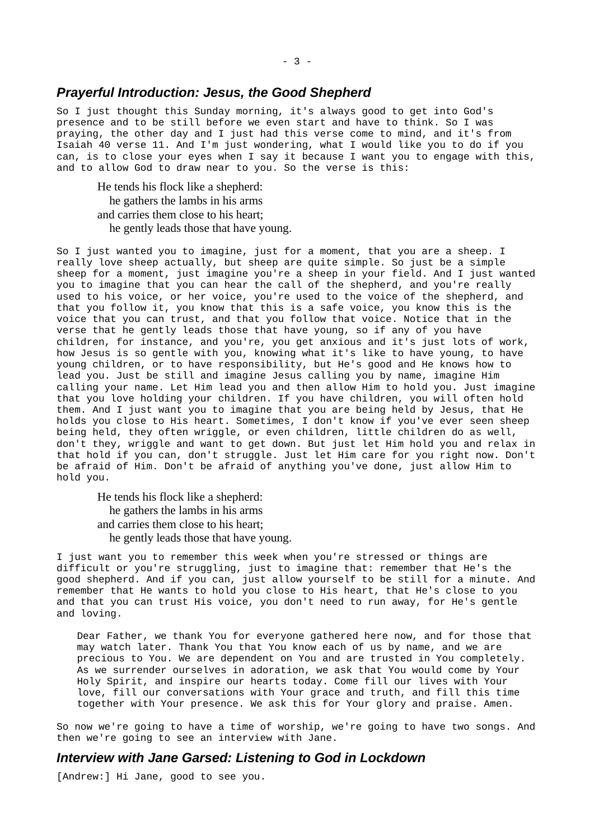### <span id="page-2-1"></span>*Prayerful Introduction: Jesus, the Good Shepherd*

So I just thought this Sunday morning, it's always good to get into God's presence and to be still before we even start and have to think. So I was praying, the other day and I just had this verse come to mind, and it's from Isaiah 40 verse 11. And I'm just wondering, what I would like you to do if you can, is to close your eyes when I say it because I want you to engage with this, and to allow God to draw near to you. So the verse is this:

He tends his flock like a shepherd: he gathers the lambs in his arms and carries them close to his heart; he gently leads those that have young.

So I just wanted you to imagine, just for a moment, that you are a sheep. I really love sheep actually, but sheep are quite simple. So just be a simple sheep for a moment, just imagine you're a sheep in your field. And I just wanted you to imagine that you can hear the call of the shepherd, and you're really used to his voice, or her voice, you're used to the voice of the shepherd, and that you follow it, you know that this is a safe voice, you know this is the voice that you can trust, and that you follow that voice. Notice that in the verse that he gently leads those that have young, so if any of you have children, for instance, and you're, you get anxious and it's just lots of work, how Jesus is so gentle with you, knowing what it's like to have young, to have young children, or to have responsibility, but He's good and He knows how to lead you. Just be still and imagine Jesus calling you by name, imagine Him calling your name. Let Him lead you and then allow Him to hold you. Just imagine that you love holding your children. If you have children, you will often hold them. And I just want you to imagine that you are being held by Jesus, that He holds you close to His heart. Sometimes, I don't know if you've ever seen sheep being held, they often wriggle, or even children, little children do as well, don't they, wriggle and want to get down. But just let Him hold you and relax in that hold if you can, don't struggle. Just let Him care for you right now. Don't be afraid of Him. Don't be afraid of anything you've done, just allow Him to hold you.

He tends his flock like a shepherd: he gathers the lambs in his arms and carries them close to his heart; he gently leads those that have young.

I just want you to remember this week when you're stressed or things are difficult or you're struggling, just to imagine that: remember that He's the good shepherd. And if you can, just allow yourself to be still for a minute. And remember that He wants to hold you close to His heart, that He's close to you and that you can trust His voice, you don't need to run away, for He's gentle and loving.

Dear Father, we thank You for everyone gathered here now, and for those that may watch later. Thank You that You know each of us by name, and we are precious to You. We are dependent on You and are trusted in You completely. As we surrender ourselves in adoration, we ask that You would come by Your Holy Spirit, and inspire our hearts today. Come fill our lives with Your love, fill our conversations with Your grace and truth, and fill this time together with Your presence. We ask this for Your glory and praise. Amen.

So now we're going to have a time of worship, we're going to have two songs. And then we're going to see an interview with Jane.

### <span id="page-2-0"></span>*Interview with Jane Garsed: Listening to God in Lockdown*

[Andrew:] Hi Jane, good to see you.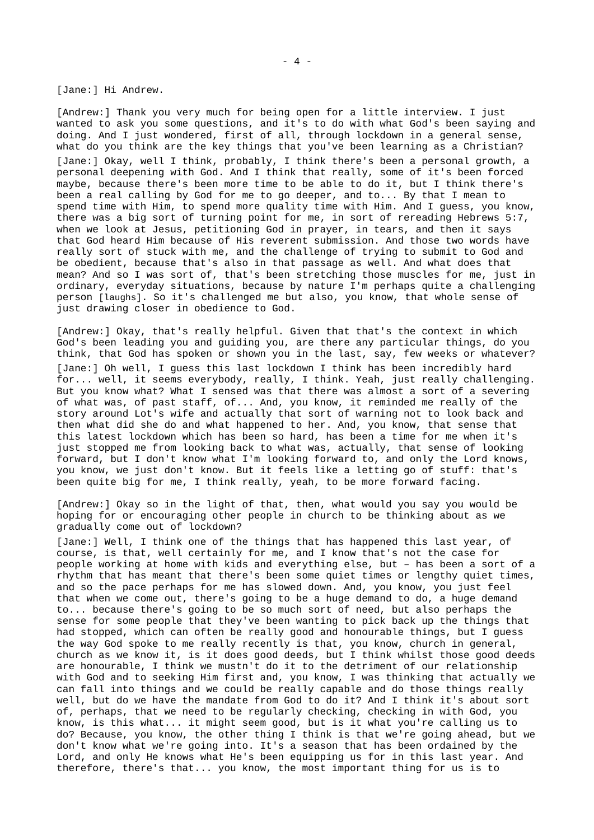[Jane:] Hi Andrew.

[Andrew:] Thank you very much for being open for a little interview. I just wanted to ask you some questions, and it's to do with what God's been saying and doing. And I just wondered, first of all, through lockdown in a general sense, what do you think are the key things that you've been learning as a Christian? [Jane:] Okay, well I think, probably, I think there's been a personal growth, a personal deepening with God. And I think that really, some of it's been forced maybe, because there's been more time to be able to do it, but I think there's been a real calling by God for me to go deeper, and to... By that I mean to spend time with Him, to spend more quality time with Him. And I guess, you know, there was a big sort of turning point for me, in sort of rereading Hebrews 5:7, when we look at Jesus, petitioning God in prayer, in tears, and then it says that God heard Him because of His reverent submission. And those two words have really sort of stuck with me, and the challenge of trying to submit to God and be obedient, because that's also in that passage as well. And what does that mean? And so I was sort of, that's been stretching those muscles for me, just in ordinary, everyday situations, because by nature I'm perhaps quite a challenging person [laughs]. So it's challenged me but also, you know, that whole sense of just drawing closer in obedience to God.

[Andrew:] Okay, that's really helpful. Given that that's the context in which God's been leading you and guiding you, are there any particular things, do you think, that God has spoken or shown you in the last, say, few weeks or whatever? [Jane:] Oh well, I guess this last lockdown I think has been incredibly hard for... well, it seems everybody, really, I think. Yeah, just really challenging. But you know what? What I sensed was that there was almost a sort of a severing of what was, of past staff, of... And, you know, it reminded me really of the story around Lot's wife and actually that sort of warning not to look back and then what did she do and what happened to her. And, you know, that sense that this latest lockdown which has been so hard, has been a time for me when it's just stopped me from looking back to what was, actually, that sense of looking forward, but I don't know what I'm looking forward to, and only the Lord knows, you know, we just don't know. But it feels like a letting go of stuff: that's been quite big for me, I think really, yeah, to be more forward facing.

[Andrew:] Okay so in the light of that, then, what would you say you would be hoping for or encouraging other people in church to be thinking about as we gradually come out of lockdown?

[Jane:] Well, I think one of the things that has happened this last year, of course, is that, well certainly for me, and I know that's not the case for people working at home with kids and everything else, but – has been a sort of a rhythm that has meant that there's been some quiet times or lengthy quiet times, and so the pace perhaps for me has slowed down. And, you know, you just feel that when we come out, there's going to be a huge demand to do, a huge demand to... because there's going to be so much sort of need, but also perhaps the sense for some people that they've been wanting to pick back up the things that had stopped, which can often be really good and honourable things, but I guess the way God spoke to me really recently is that, you know, church in general, church as we know it, is it does good deeds, but I think whilst those good deeds are honourable, I think we mustn't do it to the detriment of our relationship with God and to seeking Him first and, you know, I was thinking that actually we can fall into things and we could be really capable and do those things really well, but do we have the mandate from God to do it? And I think it's about sort of, perhaps, that we need to be regularly checking, checking in with God, you know, is this what... it might seem good, but is it what you're calling us to do? Because, you know, the other thing I think is that we're going ahead, but we don't know what we're going into. It's a season that has been ordained by the Lord, and only He knows what He's been equipping us for in this last year. And therefore, there's that... you know, the most important thing for us is to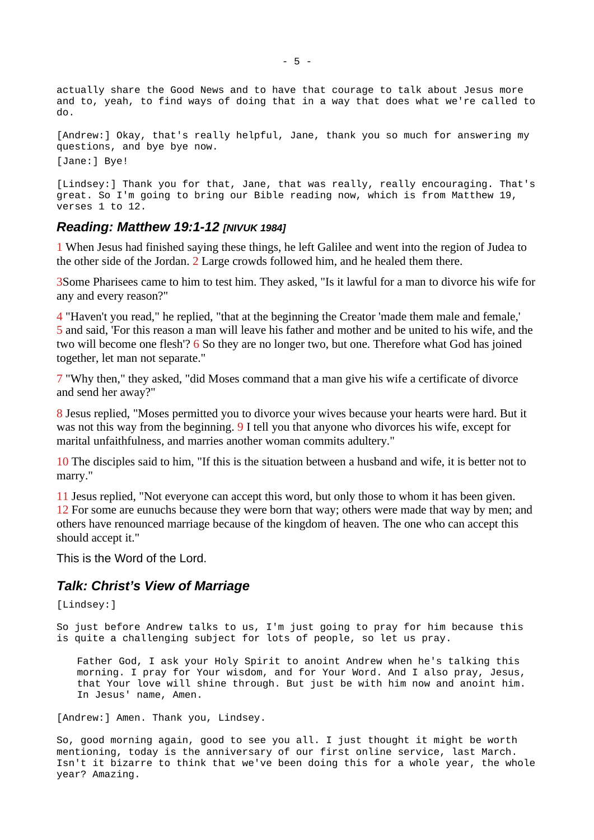actually share the Good News and to have that courage to talk about Jesus more and to, yeah, to find ways of doing that in a way that does what we're called to do.

[Andrew:] Okay, that's really helpful, Jane, thank you so much for answering my questions, and bye bye now. [Jane:] Bye!

[Lindsey:] Thank you for that, Jane, that was really, really encouraging. That's great. So I'm going to bring our Bible reading now, which is from Matthew 19, verses 1 to 12.

## <span id="page-4-1"></span>*Reading: Matthew 19:1-12 [NIVUK 1984]*

1 When Jesus had finished saying these things, he left Galilee and went into the region of Judea to the other side of the Jordan. 2 Large crowds followed him, and he healed them there.

3Some Pharisees came to him to test him. They asked, "Is it lawful for a man to divorce his wife for any and every reason?"

4 "Haven't you read," he replied, "that at the beginning the Creator 'made them male and female,' 5 and said, 'For this reason a man will leave his father and mother and be united to his wife, and the two will become one flesh'? 6 So they are no longer two, but one. Therefore what God has joined together, let man not separate."

7 "Why then," they asked, "did Moses command that a man give his wife a certificate of divorce and send her away?"

8 Jesus replied, "Moses permitted you to divorce your wives because your hearts were hard. But it was not this way from the beginning. 9 I tell you that anyone who divorces his wife, except for marital unfaithfulness, and marries another woman commits adultery."

10 The disciples said to him, "If this is the situation between a husband and wife, it is better not to marry."

11 Jesus replied, "Not everyone can accept this word, but only those to whom it has been given. 12 For some are eunuchs because they were born that way; others were made that way by men; and others have renounced marriage because of the kingdom of heaven. The one who can accept this should accept it."

This is the Word of the Lord.

## <span id="page-4-0"></span>*Talk: Christ's View of Marriage*

[Lindsey:]

So just before Andrew talks to us, I'm just going to pray for him because this is quite a challenging subject for lots of people, so let us pray.

Father God, I ask your Holy Spirit to anoint Andrew when he's talking this morning. I pray for Your wisdom, and for Your Word. And I also pray, Jesus, that Your love will shine through. But just be with him now and anoint him. In Jesus' name, Amen.

[Andrew:] Amen. Thank you, Lindsey.

So, good morning again, good to see you all. I just thought it might be worth mentioning, today is the anniversary of our first online service, last March. Isn't it bizarre to think that we've been doing this for a whole year, the whole year? Amazing.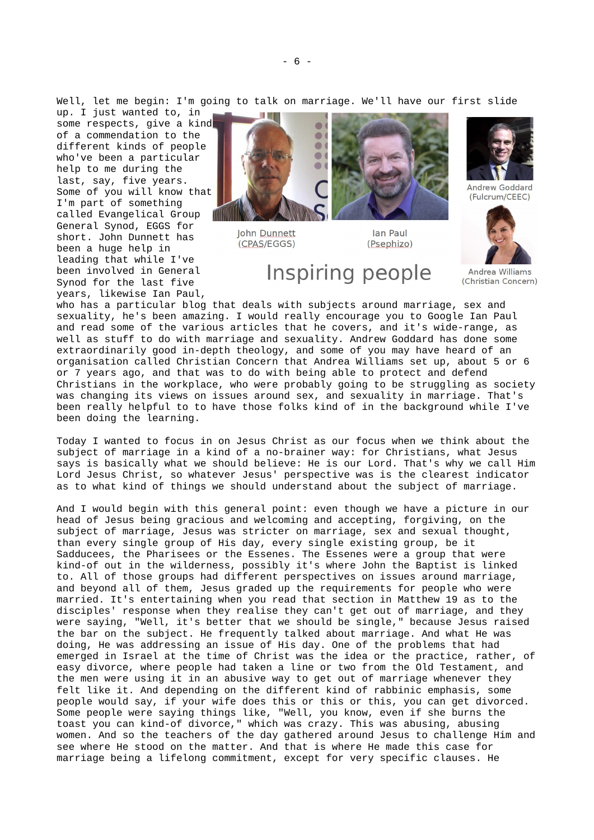Well, let me begin: I'm going to talk on marriage. We'll have our first slide

up. I just wanted to, in some respects, give a kind of a commendation to the different kinds of people who've been a particular help to me during the last, say, five years. Some of you will know that I'm part of something called Evangelical Group General Synod, EGGS for short. John Dunnett has been a huge help in leading that while I've been involved in General Synod for the last five years, likewise Ian Paul,



Inspiring people

**Iohn Dunnett** (CPAS/EGGS)

lan Paul (Psephizo)



(Fulcrum/CEEC)



Andrea Williams (Christian Concern)

who has a particular blog that deals with subjects around marriage, sex and sexuality, he's been amazing. I would really encourage you to Google Ian Paul and read some of the various articles that he covers, and it's wide-range, as well as stuff to do with marriage and sexuality. Andrew Goddard has done some extraordinarily good in-depth theology, and some of you may have heard of an organisation called Christian Concern that Andrea Williams set up, about 5 or 6 or 7 years ago, and that was to do with being able to protect and defend Christians in the workplace, who were probably going to be struggling as society was changing its views on issues around sex, and sexuality in marriage. That's been really helpful to to have those folks kind of in the background while I've been doing the learning.

Today I wanted to focus in on Jesus Christ as our focus when we think about the subject of marriage in a kind of a no-brainer way: for Christians, what Jesus says is basically what we should believe: He is our Lord. That's why we call Him Lord Jesus Christ, so whatever Jesus' perspective was is the clearest indicator as to what kind of things we should understand about the subject of marriage.

And I would begin with this general point: even though we have a picture in our head of Jesus being gracious and welcoming and accepting, forgiving, on the subject of marriage, Jesus was stricter on marriage, sex and sexual thought, than every single group of His day, every single existing group, be it Sadducees, the Pharisees or the Essenes. The Essenes were a group that were kind-of out in the wilderness, possibly it's where John the Baptist is linked to. All of those groups had different perspectives on issues around marriage, and beyond all of them, Jesus graded up the requirements for people who were married. It's entertaining when you read that section in Matthew 19 as to the disciples' response when they realise they can't get out of marriage, and they were saying, "Well, it's better that we should be single," because Jesus raised the bar on the subject. He frequently talked about marriage. And what He was doing, He was addressing an issue of His day. One of the problems that had emerged in Israel at the time of Christ was the idea or the practice, rather, of easy divorce, where people had taken a line or two from the Old Testament, and the men were using it in an abusive way to get out of marriage whenever they felt like it. And depending on the different kind of rabbinic emphasis, some people would say, if your wife does this or this or this, you can get divorced. Some people were saying things like, "Well, you know, even if she burns the toast you can kind-of divorce," which was crazy. This was abusing, abusing women. And so the teachers of the day gathered around Jesus to challenge Him and see where He stood on the matter. And that is where He made this case for marriage being a lifelong commitment, except for very specific clauses. He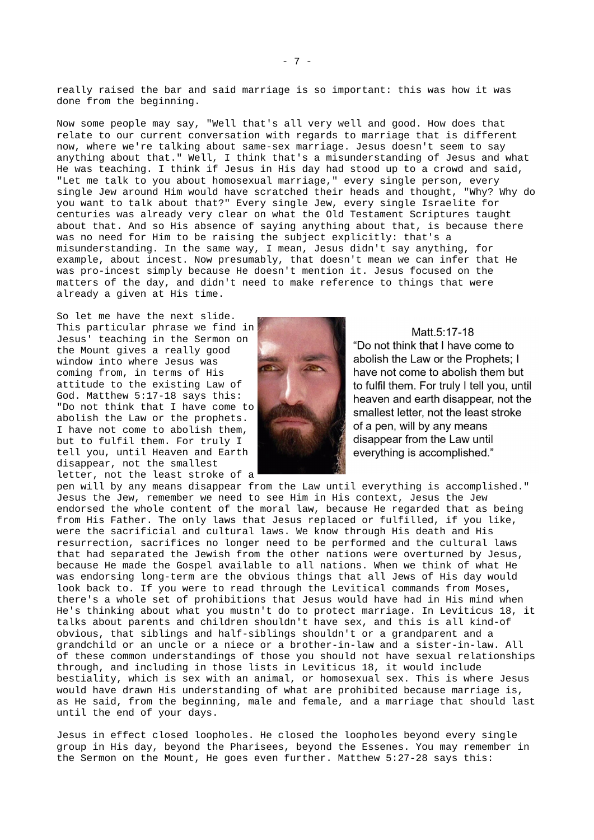really raised the bar and said marriage is so important: this was how it was done from the beginning.

Now some people may say, "Well that's all very well and good. How does that relate to our current conversation with regards to marriage that is different now, where we're talking about same-sex marriage. Jesus doesn't seem to say anything about that." Well, I think that's a misunderstanding of Jesus and what He was teaching. I think if Jesus in His day had stood up to a crowd and said, "Let me talk to you about homosexual marriage," every single person, every single Jew around Him would have scratched their heads and thought, "Why? Why do you want to talk about that?" Every single Jew, every single Israelite for centuries was already very clear on what the Old Testament Scriptures taught about that. And so His absence of saying anything about that, is because there was no need for Him to be raising the subject explicitly: that's a misunderstanding. In the same way, I mean, Jesus didn't say anything, for example, about incest. Now presumably, that doesn't mean we can infer that He was pro-incest simply because He doesn't mention it. Jesus focused on the matters of the day, and didn't need to make reference to things that were already a given at His time.

So let me have the next slide. This particular phrase we find in Jesus' teaching in the Sermon on the Mount gives a really good window into where Jesus was coming from, in terms of His attitude to the existing Law of God. Matthew 5:17-18 says this: "Do not think that I have come to abolish the Law or the prophets. I have not come to abolish them, but to fulfil them. For truly I tell you, until Heaven and Earth disappear, not the smallest letter, not the least stroke of a



Matt.5:17-18 "Do not think that I have come to abolish the Law or the Prophets: I have not come to abolish them but to fulfil them. For truly I tell you, until heaven and earth disappear, not the smallest letter, not the least stroke of a pen, will by any means disappear from the Law until everything is accomplished."

pen will by any means disappear from the Law until everything is accomplished." Jesus the Jew, remember we need to see Him in His context, Jesus the Jew endorsed the whole content of the moral law, because He regarded that as being from His Father. The only laws that Jesus replaced or fulfilled, if you like, were the sacrificial and cultural laws. We know through His death and His resurrection, sacrifices no longer need to be performed and the cultural laws that had separated the Jewish from the other nations were overturned by Jesus, because He made the Gospel available to all nations. When we think of what He was endorsing long-term are the obvious things that all Jews of His day would look back to. If you were to read through the Levitical commands from Moses, there's a whole set of prohibitions that Jesus would have had in His mind when He's thinking about what you mustn't do to protect marriage. In Leviticus 18, it talks about parents and children shouldn't have sex, and this is all kind-of obvious, that siblings and half-siblings shouldn't or a grandparent and a grandchild or an uncle or a niece or a brother-in-law and a sister-in-law. All of these common understandings of those you should not have sexual relationships through, and including in those lists in Leviticus 18, it would include bestiality, which is sex with an animal, or homosexual sex. This is where Jesus would have drawn His understanding of what are prohibited because marriage is, as He said, from the beginning, male and female, and a marriage that should last until the end of your days.

Jesus in effect closed loopholes. He closed the loopholes beyond every single group in His day, beyond the Pharisees, beyond the Essenes. You may remember in the Sermon on the Mount, He goes even further. Matthew 5:27-28 says this: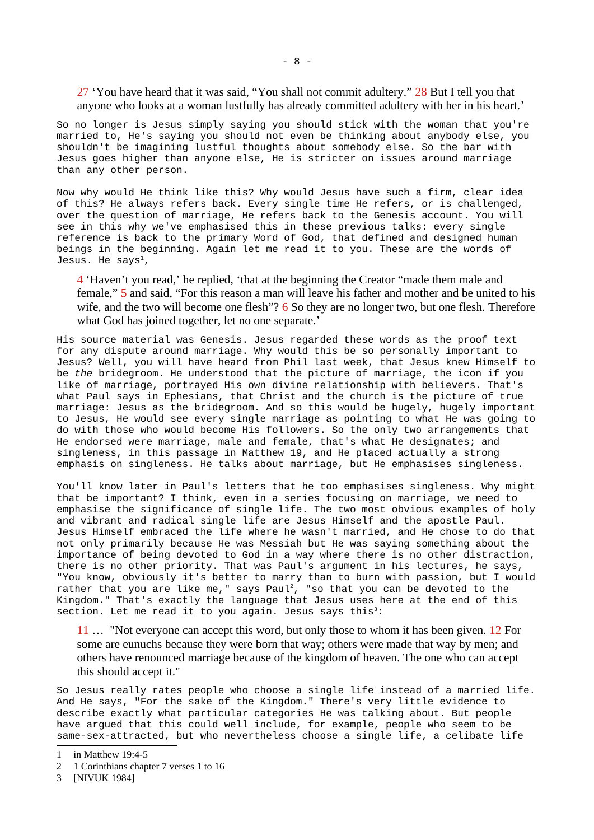27 'You have heard that it was said, "You shall not commit adultery." 28 But I tell you that anyone who looks at a woman lustfully has already committed adultery with her in his heart.'

So no longer is Jesus simply saying you should stick with the woman that you're married to, He's saying you should not even be thinking about anybody else, you shouldn't be imagining lustful thoughts about somebody else. So the bar with Jesus goes higher than anyone else, He is stricter on issues around marriage than any other person.

Now why would He think like this? Why would Jesus have such a firm, clear idea of this? He always refers back. Every single time He refers, or is challenged, over the question of marriage, He refers back to the Genesis account. You will see in this why we've emphasised this in these previous talks: every single reference is back to the primary Word of God, that defined and designed human beings in the beginning. Again let me read it to you. These are the words of Jesus. He says $^1$  $^1$ ,

4 'Haven't you read,' he replied, 'that at the beginning the Creator "made them male and female," 5 and said, "For this reason a man will leave his father and mother and be united to his wife, and the two will become one flesh"? 6 So they are no longer two, but one flesh. Therefore what God has joined together, let no one separate.'

His source material was Genesis. Jesus regarded these words as the proof text for any dispute around marriage. Why would this be so personally important to Jesus? Well, you will have heard from Phil last week, that Jesus knew Himself to be *the* bridegroom. He understood that the picture of marriage, the icon if you like of marriage, portrayed His own divine relationship with believers. That's what Paul says in Ephesians, that Christ and the church is the picture of true marriage: Jesus as the bridegroom. And so this would be hugely, hugely important to Jesus, He would see every single marriage as pointing to what He was going to do with those who would become His followers. So the only two arrangements that He endorsed were marriage, male and female, that's what He designates; and singleness, in this passage in Matthew 19, and He placed actually a strong emphasis on singleness. He talks about marriage, but He emphasises singleness.

You'll know later in Paul's letters that he too emphasises singleness. Why might that be important? I think, even in a series focusing on marriage, we need to emphasise the significance of single life. The two most obvious examples of holy and vibrant and radical single life are Jesus Himself and the apostle Paul. Jesus Himself embraced the life where he wasn't married, and He chose to do that not only primarily because He was Messiah but He was saying something about the importance of being devoted to God in a way where there is no other distraction, there is no other priority. That was Paul's argument in his lectures, he says, "You know, obviously it's better to marry than to burn with passion, but I would rather that you are like me," says Paul $^2$  $^2$ , "so that you can be devoted to the Kingdom." That's exactly the language that Jesus uses here at the end of this section. Let me read it to you again. Jesus says this<sup>[3](#page-7-2)</sup>:

11 … "Not everyone can accept this word, but only those to whom it has been given. 12 For some are eunuchs because they were born that way; others were made that way by men; and others have renounced marriage because of the kingdom of heaven. The one who can accept this should accept it."

So Jesus really rates people who choose a single life instead of a married life. And He says, "For the sake of the Kingdom." There's very little evidence to describe exactly what particular categories He was talking about. But people have argued that this could well include, for example, people who seem to be same-sex-attracted, but who nevertheless choose a single life, a celibate life

<span id="page-7-0"></span><sup>1</sup> in Matthew 19:4-5

<span id="page-7-1"></span><sup>2</sup> 1 Corinthians chapter 7 verses 1 to 16

<span id="page-7-2"></span><sup>3</sup> [NIVUK 1984]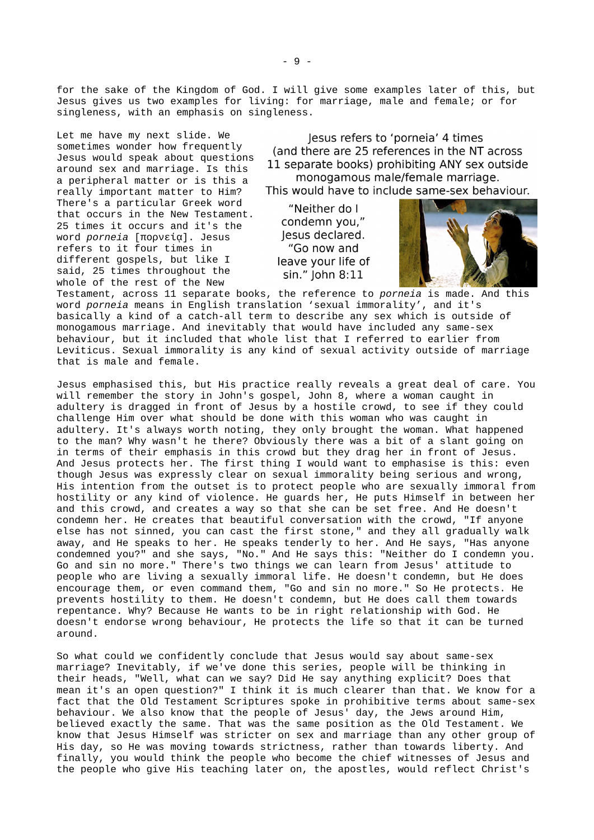for the sake of the Kingdom of God. I will give some examples later of this, but Jesus gives us two examples for living: for marriage, male and female; or for singleness, with an emphasis on singleness.

Let me have my next slide. We sometimes wonder how frequently Jesus would speak about questions around sex and marriage. Is this a peripheral matter or is this a really important matter to Him? There's a particular Greek word that occurs in the New Testament. 25 times it occurs and it's the word *porneia* [πορνείᾳ]. Jesus refers to it four times in different gospels, but like I said, 25 times throughout the whole of the rest of the New

lesus refers to 'porneia' 4 times (and there are 25 references in the NT across 11 separate books) prohibiting ANY sex outside monogamous male/female marriage.

This would have to include same-sex behaviour.

"Neither do I condemn you," lesus declared. "Go now and leave your life of sin." John 8:11



Testament, across 11 separate books, the reference to *porneia* is made. And this word *porneia* means in English translation 'sexual immorality', and it's basically a kind of a catch-all term to describe any sex which is outside of monogamous marriage. And inevitably that would have included any same-sex behaviour, but it included that whole list that I referred to earlier from Leviticus. Sexual immorality is any kind of sexual activity outside of marriage that is male and female.

Jesus emphasised this, but His practice really reveals a great deal of care. You will remember the story in John's gospel, John 8, where a woman caught in adultery is dragged in front of Jesus by a hostile crowd, to see if they could challenge Him over what should be done with this woman who was caught in adultery. It's always worth noting, they only brought the woman. What happened to the man? Why wasn't he there? Obviously there was a bit of a slant going on in terms of their emphasis in this crowd but they drag her in front of Jesus. And Jesus protects her. The first thing I would want to emphasise is this: even though Jesus was expressly clear on sexual immorality being serious and wrong, His intention from the outset is to protect people who are sexually immoral from hostility or any kind of violence. He guards her, He puts Himself in between her and this crowd, and creates a way so that she can be set free. And He doesn't condemn her. He creates that beautiful conversation with the crowd, "If anyone else has not sinned, you can cast the first stone," and they all gradually walk away, and He speaks to her. He speaks tenderly to her. And He says, "Has anyone condemned you?" and she says, "No." And He says this: "Neither do I condemn you. Go and sin no more." There's two things we can learn from Jesus' attitude to people who are living a sexually immoral life. He doesn't condemn, but He does encourage them, or even command them, "Go and sin no more." So He protects. He prevents hostility to them. He doesn't condemn, but He does call them towards repentance. Why? Because He wants to be in right relationship with God. He doesn't endorse wrong behaviour, He protects the life so that it can be turned around.

So what could we confidently conclude that Jesus would say about same-sex marriage? Inevitably, if we've done this series, people will be thinking in their heads, "Well, what can we say? Did He say anything explicit? Does that mean it's an open question?" I think it is much clearer than that. We know for a fact that the Old Testament Scriptures spoke in prohibitive terms about same-sex behaviour. We also know that the people of Jesus' day, the Jews around Him, believed exactly the same. That was the same position as the Old Testament. We know that Jesus Himself was stricter on sex and marriage than any other group of His day, so He was moving towards strictness, rather than towards liberty. And finally, you would think the people who become the chief witnesses of Jesus and the people who give His teaching later on, the apostles, would reflect Christ's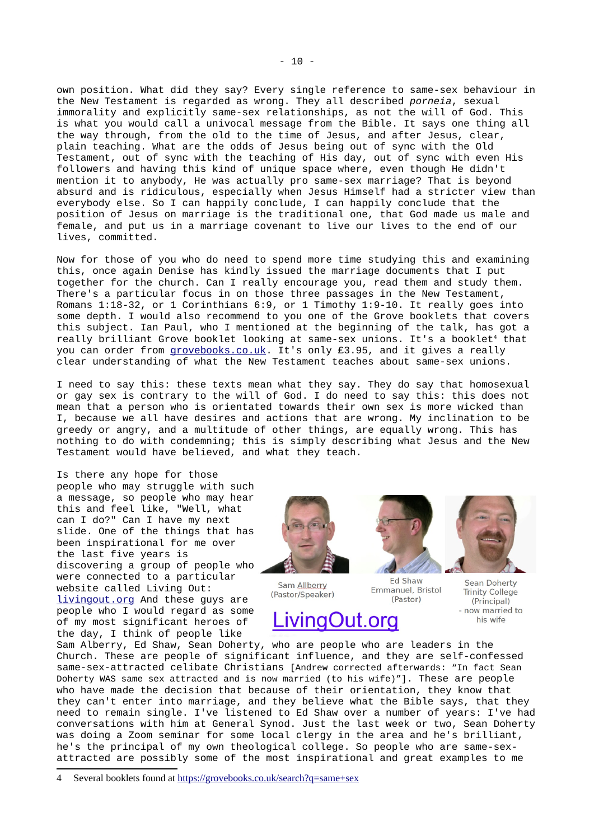own position. What did they say? Every single reference to same-sex behaviour in the New Testament is regarded as wrong. They all described *porneia*, sexual immorality and explicitly same-sex relationships, as not the will of God. This is what you would call a univocal message from the Bible. It says one thing all the way through, from the old to the time of Jesus, and after Jesus, clear, plain teaching. What are the odds of Jesus being out of sync with the Old Testament, out of sync with the teaching of His day, out of sync with even His followers and having this kind of unique space where, even though He didn't mention it to anybody, He was actually pro same-sex marriage? That is beyond absurd and is ridiculous, especially when Jesus Himself had a stricter view than everybody else. So I can happily conclude, I can happily conclude that the position of Jesus on marriage is the traditional one, that God made us male and female, and put us in a marriage covenant to live our lives to the end of our lives, committed.

Now for those of you who do need to spend more time studying this and examining this, once again Denise has kindly issued the marriage documents that I put together for the church. Can I really encourage you, read them and study them. There's a particular focus in on those three passages in the New Testament, Romans 1:18-32, or 1 Corinthians 6:9, or 1 Timothy 1:9-10. It really goes into some depth. I would also recommend to you one of the Grove booklets that covers this subject. Ian Paul, who I mentioned at the beginning of the talk, has got a really brilliant Grove booklet looking at same-sex unions. It's a booklet<sup>[4](#page-9-0)</sup> that you can order from [grovebooks.co.uk.](https://grovebooks.co.uk/) It's only £3.95, and it gives a really clear understanding of what the New Testament teaches about same-sex unions.

I need to say this: these texts mean what they say. They do say that homosexual or gay sex is contrary to the will of God. I do need to say this: this does not mean that a person who is orientated towards their own sex is more wicked than I, because we all have desires and actions that are wrong. My inclination to be greedy or angry, and a multitude of other things, are equally wrong. This has nothing to do with condemning; this is simply describing what Jesus and the New Testament would have believed, and what they teach.

Is there any hope for those people who may struggle with such a message, so people who may hear this and feel like, "Well, what can I do?" Can I have my next slide. One of the things that has been inspirational for me over the last five years is discovering a group of people who were connected to a particular website called Living Out: [livingout.org](https://www.livingout.org/) And these guys are people who I would regard as some of my most significant heroes of the day, I think of people like

Sam Allberry (Pastor/Speaker)

**Ed Shaw** Emmanuel, Bristol (Pastor)

**Sean Doherty Trinity College** (Principal) - now married to his wife

ivingOut.org

Sam Alberry, Ed Shaw, Sean Doherty, who are people who are leaders in the Church. These are people of significant influence, and they are self-confessed same-sex-attracted celibate Christians [Andrew corrected afterwards: "In fact Sean Doherty WAS same sex attracted and is now married (to his wife)"]. These are people who have made the decision that because of their orientation, they know that they can't enter into marriage, and they believe what the Bible says, that they need to remain single. I've listened to Ed Shaw over a number of years: I've had conversations with him at General Synod. Just the last week or two, Sean Doherty was doing a Zoom seminar for some local clergy in the area and he's brilliant, he's the principal of my own theological college. So people who are same-sexattracted are possibly some of the most inspirational and great examples to me



<span id="page-9-0"></span><sup>4</sup> Several booklets found at<https://grovebooks.co.uk/search?q=same+sex>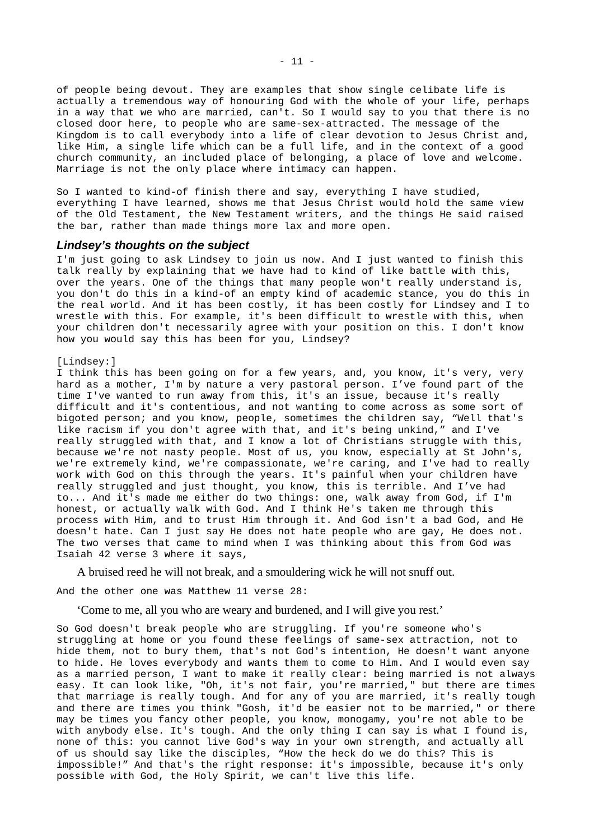of people being devout. They are examples that show single celibate life is actually a tremendous way of honouring God with the whole of your life, perhaps in a way that we who are married, can't. So I would say to you that there is no closed door here, to people who are same-sex-attracted. The message of the Kingdom is to call everybody into a life of clear devotion to Jesus Christ and, like Him, a single life which can be a full life, and in the context of a good church community, an included place of belonging, a place of love and welcome. Marriage is not the only place where intimacy can happen.

So I wanted to kind-of finish there and say, everything I have studied, everything I have learned, shows me that Jesus Christ would hold the same view of the Old Testament, the New Testament writers, and the things He said raised the bar, rather than made things more lax and more open.

### <span id="page-10-0"></span>*Lindsey's thoughts on the subject*

I'm just going to ask Lindsey to join us now. And I just wanted to finish this talk really by explaining that we have had to kind of like battle with this, over the years. One of the things that many people won't really understand is, you don't do this in a kind-of an empty kind of academic stance, you do this in the real world. And it has been costly, it has been costly for Lindsey and I to wrestle with this. For example, it's been difficult to wrestle with this, when your children don't necessarily agree with your position on this. I don't know how you would say this has been for you, Lindsey?

#### [Lindsey:]

I think this has been going on for a few years, and, you know, it's very, very hard as a mother, I'm by nature a very pastoral person. I've found part of the time I've wanted to run away from this, it's an issue, because it's really difficult and it's contentious, and not wanting to come across as some sort of bigoted person; and you know, people, sometimes the children say, "Well that's like racism if you don't agree with that, and it's being unkind," and I've really struggled with that, and I know a lot of Christians struggle with this, because we're not nasty people. Most of us, you know, especially at St John's, we're extremely kind, we're compassionate, we're caring, and I've had to really work with God on this through the years. It's painful when your children have really struggled and just thought, you know, this is terrible. And I've had to... And it's made me either do two things: one, walk away from God, if I'm honest, or actually walk with God. And I think He's taken me through this process with Him, and to trust Him through it. And God isn't a bad God, and He doesn't hate. Can I just say He does not hate people who are gay, He does not. The two verses that came to mind when I was thinking about this from God was Isaiah 42 verse 3 where it says,

A bruised reed he will not break, and a smouldering wick he will not snuff out.

And the other one was Matthew 11 verse 28:

'Come to me, all you who are weary and burdened, and I will give you rest.'

So God doesn't break people who are struggling. If you're someone who's struggling at home or you found these feelings of same-sex attraction, not to hide them, not to bury them, that's not God's intention, He doesn't want anyone to hide. He loves everybody and wants them to come to Him. And I would even say as a married person, I want to make it really clear: being married is not always easy. It can look like, "Oh, it's not fair, you're married," but there are times that marriage is really tough. And for any of you are married, it's really tough and there are times you think "Gosh, it'd be easier not to be married," or there may be times you fancy other people, you know, monogamy, you're not able to be with anybody else. It's tough. And the only thing I can say is what I found is, none of this: you cannot live God's way in your own strength, and actually all of us should say like the disciples, "How the heck do we do this? This is impossible!" And that's the right response: it's impossible, because it's only possible with God, the Holy Spirit, we can't live this life.